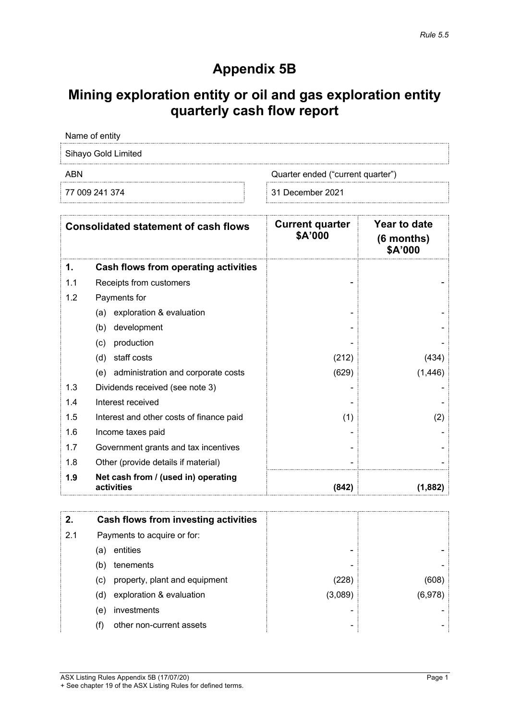# **Appendix 5B**

# **Mining exploration entity or oil and gas exploration entity quarterly cash flow report**

|            | Name of entity                                    |                                   |                                         |
|------------|---------------------------------------------------|-----------------------------------|-----------------------------------------|
|            | Sihayo Gold Limited                               |                                   |                                         |
| <b>ABN</b> |                                                   | Quarter ended ("current quarter") |                                         |
|            | 77 009 241 374                                    | 31 December 2021                  |                                         |
|            | <b>Consolidated statement of cash flows</b>       | <b>Current quarter</b><br>\$A'000 | Year to date<br>$(6$ months)<br>\$A'000 |
| 1.         | <b>Cash flows from operating activities</b>       |                                   |                                         |
| 1.1        | Receipts from customers                           |                                   |                                         |
| 1.2        | Payments for                                      |                                   |                                         |
|            | exploration & evaluation<br>(a)                   |                                   |                                         |
|            | development<br>(b)                                |                                   |                                         |
|            | production<br>(c)                                 |                                   |                                         |
|            | staff costs<br>(d)                                | (212)                             | (434)                                   |
|            | (e) administration and corporate costs            | (629)                             | (1, 446)                                |
| 1.3        | Dividends received (see note 3)                   |                                   |                                         |
| 1.4        | Interest received                                 |                                   |                                         |
| 1.5        | Interest and other costs of finance paid          | (1)                               | (2)                                     |
| 1.6        | Income taxes paid                                 |                                   |                                         |
| 1.7        | Government grants and tax incentives              |                                   |                                         |
| 1.8        | Other (provide details if material)               |                                   |                                         |
| 1.9        | Net cash from / (used in) operating<br>activities | (842)                             | (1,882)                                 |
|            |                                                   |                                   |                                         |
| 2.         | <b>Cash flows from investing activities</b>       |                                   |                                         |
| 2.1        | Payments to acquire or for:                       |                                   |                                         |
|            | entities<br>(a)                                   |                                   |                                         |
|            | tenements<br>(b)                                  |                                   |                                         |
|            | (c)<br>property, plant and equipment              | (228)                             | (608)                                   |
|            | exploration & evaluation<br>(d)                   | (3,089)                           | (6,978)                                 |
|            | investments<br>(e)                                |                                   |                                         |
|            | (f)<br>other non-current assets                   |                                   |                                         |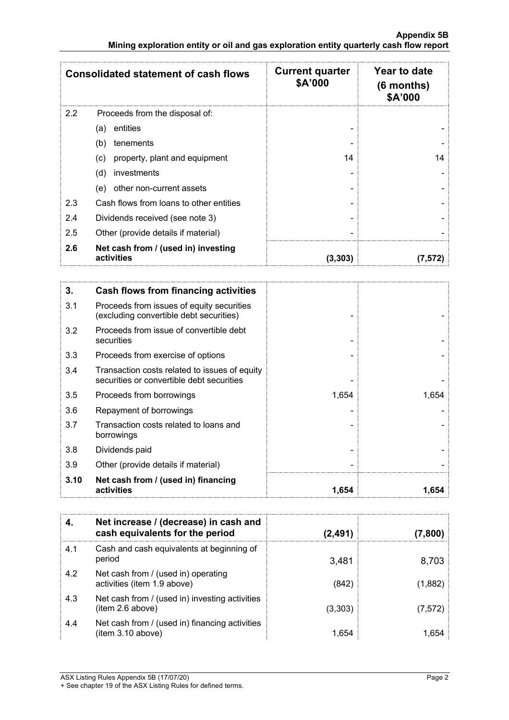|     | <b>Consolidated statement of cash flows</b>       | <b>Current quarter</b><br>\$A'000 | Year to date<br>$(6$ months)<br>\$A'000 |
|-----|---------------------------------------------------|-----------------------------------|-----------------------------------------|
| 2.2 | Proceeds from the disposal of:                    |                                   |                                         |
|     | entities<br>(a)                                   |                                   |                                         |
|     | (b)<br>tenements                                  |                                   |                                         |
|     | property, plant and equipment<br>(C)              | 14                                | 14                                      |
|     | (d)<br>investments                                |                                   |                                         |
|     | other non-current assets<br>(e)                   |                                   |                                         |
| 2.3 | Cash flows from loans to other entities           |                                   |                                         |
| 2.4 | Dividends received (see note 3)                   |                                   |                                         |
| 2.5 | Other (provide details if material)               |                                   |                                         |
| 2.6 | Net cash from / (used in) investing<br>activities | (3,303)                           |                                         |

| 3.   | <b>Cash flows from financing activities</b>                                                |       |       |
|------|--------------------------------------------------------------------------------------------|-------|-------|
| 3.1  | Proceeds from issues of equity securities<br>(excluding convertible debt securities)       |       |       |
| 3.2  | Proceeds from issue of convertible debt<br>securities                                      |       |       |
| 3.3  | Proceeds from exercise of options                                                          |       |       |
| 3.4  | Transaction costs related to issues of equity<br>securities or convertible debt securities |       |       |
| 3.5  | Proceeds from borrowings                                                                   | 1,654 | 1,654 |
| 3.6  | Repayment of borrowings                                                                    |       |       |
| 3.7  | Transaction costs related to loans and<br>borrowings                                       |       |       |
| 3.8  | Dividends paid                                                                             |       |       |
| 3.9  | Other (provide details if material)                                                        |       |       |
| 3.10 | Net cash from / (used in) financing<br>activities                                          | 1.654 | 1.654 |

|     | Net increase / (decrease) in cash and<br>cash equivalents for the period | (2,491) | (7, 800) |
|-----|--------------------------------------------------------------------------|---------|----------|
| 4.1 | Cash and cash equivalents at beginning of<br>period                      | 3,481   | 8,703    |
| 4.2 | Net cash from / (used in) operating<br>activities (item 1.9 above)       | (842)   | (1,882)  |
| 4.3 | Net cash from / (used in) investing activities<br>item 2.6 above)        | (3,303) | (7,572)  |
| 4.4 | Net cash from / (used in) financing activities<br>(item 3.10 above)      | 1.654   | 1.654    |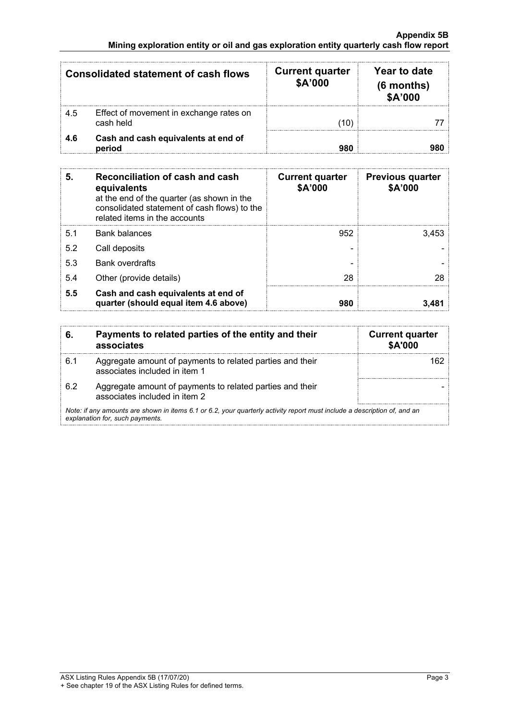### **Appendix 5B Mining exploration entity or oil and gas exploration entity quarterly cash flow report**

|     | <b>Consolidated statement of cash flows</b>          | <b>Current quarter</b><br>\$A'000 | Year to date<br>$(6$ months)<br>\$A'000 |
|-----|------------------------------------------------------|-----------------------------------|-----------------------------------------|
| 4.5 | Effect of movement in exchange rates on<br>cash held | (10)                              |                                         |
| 4.6 | Cash and cash equivalents at end of<br>period        | 980                               |                                         |

| 5.  | Reconciliation of cash and cash<br>equivalents<br>at the end of the quarter (as shown in the<br>consolidated statement of cash flows) to the<br>related items in the accounts | <b>Current quarter</b><br>\$A'000 | <b>Previous quarter</b><br>\$A'000 |
|-----|-------------------------------------------------------------------------------------------------------------------------------------------------------------------------------|-----------------------------------|------------------------------------|
| 5.1 | <b>Bank balances</b>                                                                                                                                                          | 952                               | 3.453                              |
| 5.2 | Call deposits                                                                                                                                                                 |                                   |                                    |
| 5.3 | <b>Bank overdrafts</b>                                                                                                                                                        |                                   |                                    |
| 5.4 | Other (provide details)                                                                                                                                                       | 28                                | 28                                 |
| 5.5 | Cash and cash equivalents at end of<br>quarter (should equal item 4.6 above)                                                                                                  | 980                               |                                    |

| 6.                                                                                                                                                          | Payments to related parties of the entity and their<br>associates                          | <b>Current quarter</b><br>\$A'000 |
|-------------------------------------------------------------------------------------------------------------------------------------------------------------|--------------------------------------------------------------------------------------------|-----------------------------------|
| 6.1                                                                                                                                                         | Aggregate amount of payments to related parties and their<br>associates included in item 1 |                                   |
| 62                                                                                                                                                          | Aggregate amount of payments to related parties and their<br>associates included in item 2 |                                   |
| Note: if any amounts are shown in items 6.1 or 6.2, your quarterly activity report must include a description of, and an<br>explanation for, such payments. |                                                                                            |                                   |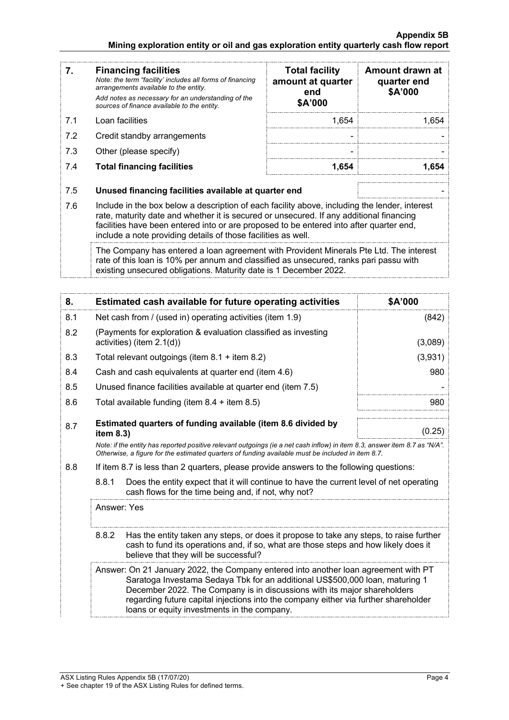| 7.                                                                                                                                                       | <b>Financing facilities</b><br>Note: the term "facility' includes all forms of financing<br>arrangements available to the entity.<br>Add notes as necessary for an understanding of the<br>sources of finance available to the entity.               | <b>Total facility</b><br>amount at quarter<br>end<br>\$A'000 | Amount drawn at<br>quarter end<br>\$A'000 |
|----------------------------------------------------------------------------------------------------------------------------------------------------------|------------------------------------------------------------------------------------------------------------------------------------------------------------------------------------------------------------------------------------------------------|--------------------------------------------------------------|-------------------------------------------|
| 7.1                                                                                                                                                      | Loan facilities                                                                                                                                                                                                                                      | 1,654                                                        | 1.654                                     |
| 7.2                                                                                                                                                      | Credit standby arrangements                                                                                                                                                                                                                          |                                                              |                                           |
| 7.3                                                                                                                                                      | Other (please specify)                                                                                                                                                                                                                               |                                                              |                                           |
| 7.4                                                                                                                                                      | <b>Total financing facilities</b>                                                                                                                                                                                                                    | 1,654                                                        | 1.654                                     |
| 7.5<br>7.6                                                                                                                                               | Unused financing facilities available at quarter end<br>Include in the box below a description of each facility above, including the lender, interest<br>rate, maturity date and whether it is secured or unsecured. If any additional financing     |                                                              |                                           |
| facilities have been entered into or are proposed to be entered into after quarter end,<br>include a note providing details of those facilities as well. |                                                                                                                                                                                                                                                      |                                                              |                                           |
|                                                                                                                                                          | The Company has entered a loan agreement with Provident Minerals Pte Ltd. The interest<br>rate of this loan is 10% per annum and classified as unsecured, ranks pari passu with<br>existing unsecured obligations. Maturity date is 1 December 2022. |                                                              |                                           |
| 8.                                                                                                                                                       | <b>Estimated cash available for future operating activities</b>                                                                                                                                                                                      |                                                              | <b>\$A'000</b>                            |
|                                                                                                                                                          |                                                                                                                                                                                                                                                      |                                                              |                                           |

| Net cash from / (used in) operating activities (item 1.9)                                                                                                                                                                                                                                                                                                                             | (842)                                                        |
|---------------------------------------------------------------------------------------------------------------------------------------------------------------------------------------------------------------------------------------------------------------------------------------------------------------------------------------------------------------------------------------|--------------------------------------------------------------|
| (Payments for exploration & evaluation classified as investing<br>activities) (item 2.1(d))                                                                                                                                                                                                                                                                                           | (3,089)                                                      |
| Total relevant outgoings (item $8.1 +$ item $8.2$ )                                                                                                                                                                                                                                                                                                                                   | (3,931)                                                      |
| Cash and cash equivalents at quarter end (item 4.6)                                                                                                                                                                                                                                                                                                                                   | 980                                                          |
| Unused finance facilities available at quarter end (item 7.5)                                                                                                                                                                                                                                                                                                                         |                                                              |
| Total available funding (item $8.4 +$ item $8.5$ )                                                                                                                                                                                                                                                                                                                                    | 980                                                          |
|                                                                                                                                                                                                                                                                                                                                                                                       |                                                              |
| item $8.3$ )                                                                                                                                                                                                                                                                                                                                                                          | (0.25)                                                       |
| Note: if the entity has reported positive relevant outgoings (ie a net cash inflow) in item 8.3, answer item 8.7 as "N/A".<br>Otherwise, a figure for the estimated quarters of funding available must be included in item 8.7.                                                                                                                                                       |                                                              |
| If item 8.7 is less than 2 quarters, please provide answers to the following questions:                                                                                                                                                                                                                                                                                               |                                                              |
| 8.8.1<br>Does the entity expect that it will continue to have the current level of net operating<br>cash flows for the time being and, if not, why not?                                                                                                                                                                                                                               |                                                              |
| Answer: Yes                                                                                                                                                                                                                                                                                                                                                                           |                                                              |
| 8.8.2<br>Has the entity taken any steps, or does it propose to take any steps, to raise further<br>cash to fund its operations and, if so, what are those steps and how likely does it<br>believe that they will be successful?                                                                                                                                                       |                                                              |
| Answer: On 21 January 2022, the Company entered into another loan agreement with PT<br>Saratoga Investama Sedaya Tbk for an additional US\$500,000 loan, maturing 1<br>December 2022. The Company is in discussions with its major shareholders<br>regarding future capital injections into the company either via further shareholder<br>loans or equity investments in the company. |                                                              |
|                                                                                                                                                                                                                                                                                                                                                                                       | Estimated quarters of funding available (item 8.6 divided by |